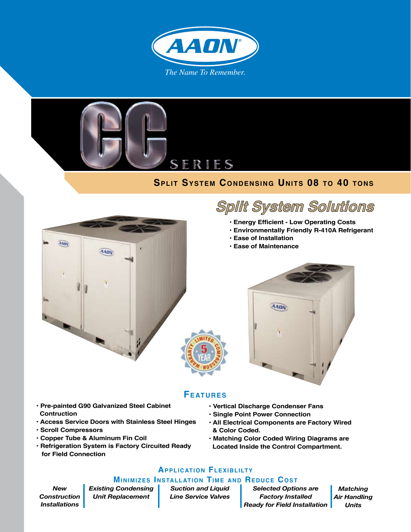



## **SPLIT SYSTEM CONDENSING UNITS 08 TO 40 TONS**



## **Split System Solutions**

- **Energy Efficient Low Operating Costs**
- **Environmentally Friendly R-410A Refrigerant**
- **Ease of Installation**
- **Ease of Maintenance**



# **Features**

- **Pre-painted G90 Galvanized Steel Cabinet Contruction**
- **Access Service Doors with Stainless Steel Hinges**
- **Scroll Compressors**
- **Copper Tube & Aluminum Fin Coil**
- **Refrigeration System is Factory Circuited Ready for Field Connection**
- **Vertical Discharge Condenser Fans**
- **Single Point Power Connection**
- **All Electrical Components are Factory Wired & Color Coded.**
- **Matching Color Coded Wiring Diagrams are Located Inside the Control Compartment.**

### **Application Flexiblilty**

#### **Minimizes Installation Time and Reduce Cost**

*New Construction Installations* *Existing Condensing Unit Replacement*

*Suction and Liquid Line Service Valves*

*Selected Options are Factory Installed Ready for Field Installation*

*Matching Air Handling Units*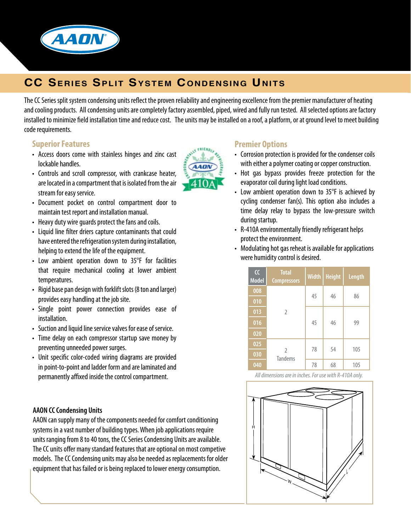

## **CC Series Split System Condensing Units**

The CC Series split system condensing units reflect the proven reliability and engineering excellence from the premier manufacturer of heating and cooling products. All condensing units are completely factory assembled, piped, wired and fully run tested. All selected options are factory installed to minimize field installation time and reduce cost. The units may be installed on a roof, a platform, or at ground level to meet building code requirements.

#### **Superior Features**

- Access doors come with stainless hinges and zinc cast lockable handles.
- • Controls and scroll compressor, with crankcase heater, are located in a compartment that is isolated from the air stream for easy service.
- • Document pocket on control compartment door to maintain test report and installation manual.
- Heavy duty wire quards protect the fans and coils.
- Liquid line filter driers capture contaminants that could have entered the refrigeration system during installation, helping to extend the life of the equipment.
- Low ambient operation down to 35°F for facilities that require mechanical cooling at lower ambient temperatures.
- Rigid base pan design with forklift slots (8 ton and larger) provides easy handling at the job site.
- • Single point power connection provides ease of installation.
- Suction and liquid line service valves for ease of service.
- Time delay on each compressor startup save money by preventing unneeded power surges.
- • Unit specific color-coded wiring diagrams are provided in point-to-point and ladder form and are laminated and permanently affixed inside the control compartment.

#### **AAON CC Condensing Units**

AAON can supply many of the components needed for comfort conditioning systems in a vast number of building types. When job applications require units ranging from 8 to 40 tons, the CC Series Condensing Units are available. The CC units offer many standard features that are optional on most competive models. The CC Condensing units may also be needed as replacements for older equipment that has failed or is being replaced to lower energy consumption.



#### **Premier Options**

- Corrosion protection is provided for the condenser coils with either a polymer coating or copper construction.
- Hot gas bypass provides freeze protection for the evaporator coil during light load conditions.
- Low ambient operation down to 35°F is achieved by cycling condenser fan(s). This option also includes a time delay relay to bypass the low-pressure switch during startup.
- R-410A environmentally friendly refrigerant helps protect the environment.
- Modulating hot gas reheat is available for applications were humidity control is desired.

| $\alpha$<br><b>Model</b> | <b>Total</b><br><b>Compressors</b> | <b>Width</b> | <b>Height</b> | <b>Length</b> |
|--------------------------|------------------------------------|--------------|---------------|---------------|
| 008                      | $\overline{2}$                     | 45           | 46            | 86            |
| 010                      |                                    |              |               |               |
| 013                      |                                    | 45           | 46            | 99            |
| 016                      |                                    |              |               |               |
| 020                      |                                    |              |               |               |
| 025                      | $\overline{2}$<br><b>Tandems</b>   | 78           | 54            | 105           |
| 030                      |                                    |              |               |               |
| 040                      |                                    | 78           | 68            | 105           |

*All dimensions are in inches. For use with R-410A only.*

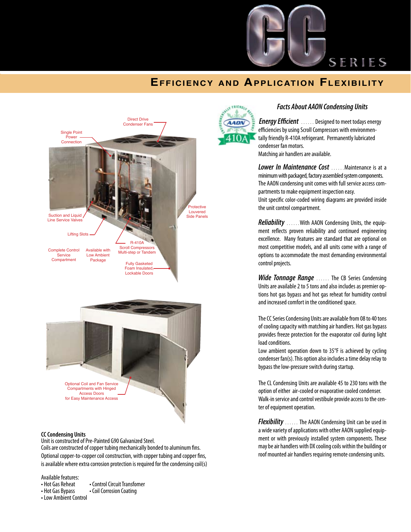

## SERIES

## **Efficiency and Application Flexibility**





#### **CC Condensing Units**

Unit is constructed of Pre-Painted G90 Galvanized Steel. Coils are constructed of copper tubing mechanically bonded to aluminum fins. Optional copper-to-copper coil construction, with copper tubing and copper fins, is available where extra corrosion protection is required for the condensing coil(s)

Available features:<br>• Hot Gas Reheat

- Hot Gas Reheat Control Circuit Transfomer<br>• Hot Gas Bypass Coil Corrosion Coating
	- Coil Corrosion Coating
- Low Ambient Control



#### *Facts About AAON Condensing Units*

*Energy Efficient* ...... Designed to meet todays energy efficiencies by using Scroll Compressors with environmentally friendly R-410A refrigerant. Permanently lubricated condenser fan motors. Matching air handlers are available.

*Lower In Maintenance Cost* ……Maintenance is at a minimum with packaged, factory assembled system components. The AAON condensing unit comes with full service access compartments to make equipment inspection easy. Unit specific color-coded wiring diagrams are provided inside the unit control compartment.

*Reliability* ……With AAON Condensing Units, the equipment reflects proven reliability and continued engineering excellence. Many features are standard that are optional on most competitive models, and all units come with a range of options to accommodate the most demanding environmental control projects.

*Wide Tonnage Range* …… The CB Series Condensing Units are available 2 to 5 tons and also includes as premier options hot gas bypass and hot gas reheat for humidity control and increased comfort in the conditioned space.

The CC Series Condensing Units are available from 08 to 40 tons of cooling capacity with matching air handlers. Hot gas bypass provides freeze protection for the evaporator coil during light load conditions.

Low ambient operation down to 35°F is achieved by cycling condenser fan(s). This option also includes a time delay relay to bypass the low-pressure switch during startup.

The CL Condensing Units are available 45 to 230 tons with the option of either air-cooled or evaporative cooled condenser. Walk-in service and control vestibule provide access to the center of equipment operation.

*Flexibility* ...... The AAON Condensing Unit can be used in a wide variety of applications with other AAON supplied equipment or with previously installed system components. These may be air handlers with DX cooling coils within the building or roof mounted air handlers requiring remote condensing units.